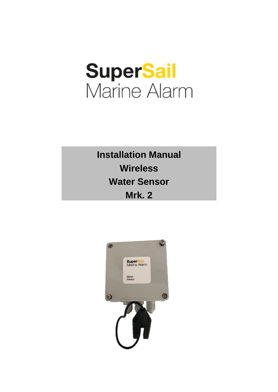# **SuperSail**<br>Marine Alarm

**Installation Manual Wireless Water Sensor Mrk. 2**

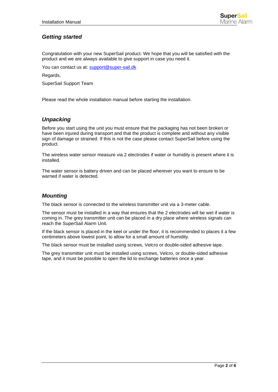# *Getting started*

Congratulation with your new SuperSail product. We hope that you will be satisfied with the product and we are always available to give support in case you need it.

You can contact us at: [support@super-sail.dk](mailto:support@super-sail.dk)

Regards,

SuperSail Support Team

Please read the whole installation manual before starting the installation.

#### *Unpacking*

Before you start using the unit you must ensure that the packaging has not been broken or have been injured during transport and that the product is complete and without any visible sign of damage or strained. If this is not the case please contact SuperSail before using the product.

The wireless water sensor measure via 2 electrodes if water or humidity is present where it is installed.

The water sensor is battery driven and can be placed wherever you want to ensure to be warned if water is detected.

#### *Mounting*

The black sensor is connected to the wireless transmitter unit via a 3-meter cable.

The sensor must be installed in a way that ensures that the 2 electrodes will be wet if water is coming in. The grey transmitter unit can be placed in a dry place where wireless signals can reach the SuperSail Alarm Unit.

If the black sensor is placed in the keel or under the floor, it is recommended to places it a few centimeters above lowest point, to allow for a small amount of humidity.

The black sensor must be installed using screws, Velcro or double-sided adhesive tape.

The grey transmitter unit must be installed using screws, Velcro, or double-sided adhesive tape, and it must be possible to open the lid to exchange batteries once a year.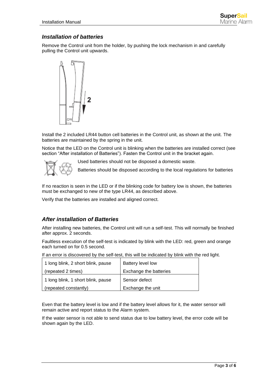#### *Installation of batteries*

Remove the Control unit from the holder, by pushing the lock mechanism in and carefully pulling the Control unit upwards.



Install the 2 included LR44 button cell batteries in the Control unit, as shown at the unit. The batteries are maintained by the spring in the unit.

Notice that the LED on the Control unit is blinking when the batteries are installed correct (see section "After installation of Batteries"). Fasten the Control unit in the bracket again.



Used batteries should not be disposed a domestic waste.

Batteries should be disposed according to the local regulations for batteries

If no reaction is seen in the LED or if the blinking code for battery low is shown, the batteries must be exchanged to new of the type LR44, as described above.

Verify that the batteries are installed and aligned correct.

#### *After installation of Batteries*

After installing new batteries, the Control unit will run a self-test. This will normally be finished after approx. 2 seconds.

Faultless execution of the self-test is indicated by blink with the LED: red, green and orange each turned on for 0.5 second.

If an error is discovered by the self-test, this will be indicated by blink with the red light.

| 1 long blink, 2 short blink, pause | <b>Battery level low</b> |
|------------------------------------|--------------------------|
| (repeated 2 times)                 | Exchange the batteries   |
| 1 long blink, 1 short blink, pause | Sensor defect            |
| (repeated constantly)              | Exchange the unit        |

Even that the battery level is low and if the battery level allows for it, the water sensor will remain active and report status to the Alarm system.

If the water sensor is not able to send status due to low battery level, the error code will be shown again by the LED.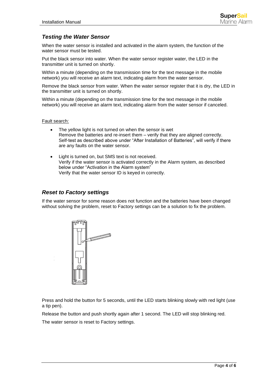## *Testing the Water Sensor*

When the water sensor is installed and activated in the alarm system, the function of the water sensor must be tested.

Put the black sensor into water. When the water sensor register water, the LED in the transmitter unit is turned on shortly.

Within a minute (depending on the transmission time for the text message in the mobile network) you will receive an alarm text, indicating alarm from the water sensor.

Remove the black sensor from water. When the water sensor register that it is dry, the LED in the transmitter unit is turned on shortly.

Within a minute (depending on the transmission time for the text message in the mobile network) you will receive an alarm text, indicating alarm from the water sensor if canceled.

Fault search:

- The yellow light is not turned on when the sensor is wet Remove the batteries and re-insert them – verify that they are aligned correctly. Self-test as described above under "After Installation of Batteries", will verify if there are any faults on the water sensor.
- Light is turned on, but SMS text is not received. Verify if the water sensor is activated correctly in the Alarm system, as described below under "Activation in the Alarm system" Verify that the water sensor ID is keyed in correctly.

#### *Reset to Factory settings*

If the water sensor for some reason does not function and the batteries have been changed without solving the problem, reset to Factory settings can be a solution to fix the problem.



Press and hold the button for 5 seconds, until the LED starts blinking slowly with red light (use a tip pen).

Release the button and push shortly again after 1 second. The LED will stop blinking red.

The water sensor is reset to Factory settings.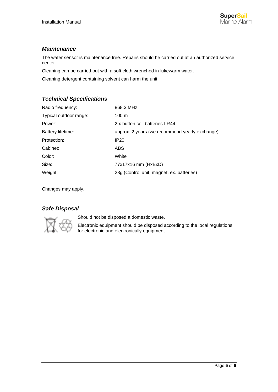## *Maintenance*

The water sensor is maintenance free. Repairs should be carried out at an authorized service center.

Cleaning can be carried out with a soft cloth wrenched in lukewarm water.

Cleaning detergent containing solvent can harm the unit.

# *Technical Specifications*

| Radio frequency:       | 868.3 MHz                                      |
|------------------------|------------------------------------------------|
| Typical outdoor range: | $100 \text{ m}$                                |
| Power:                 | 2 x button cell batteries LR44                 |
| Battery lifetime:      | approx. 2 years (we recommend yearly exchange) |
| Protection:            | IP20                                           |
| Cabinet:               | ABS.                                           |
| Color:                 | White                                          |
| Size:                  | $77x17x16$ mm ( $HxBxD$ )                      |
| Weight:                | 28g (Control unit, magnet, ex. batteries)      |

Changes may apply.

# *Safe Disposal*



Should not be disposed a domestic waste.

Electronic equipment should be disposed according to the local regulations for electronic and electronically equipment.